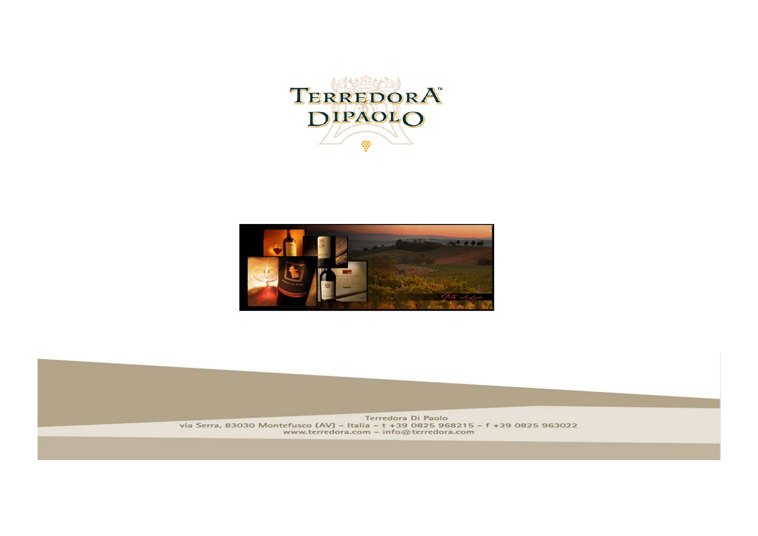



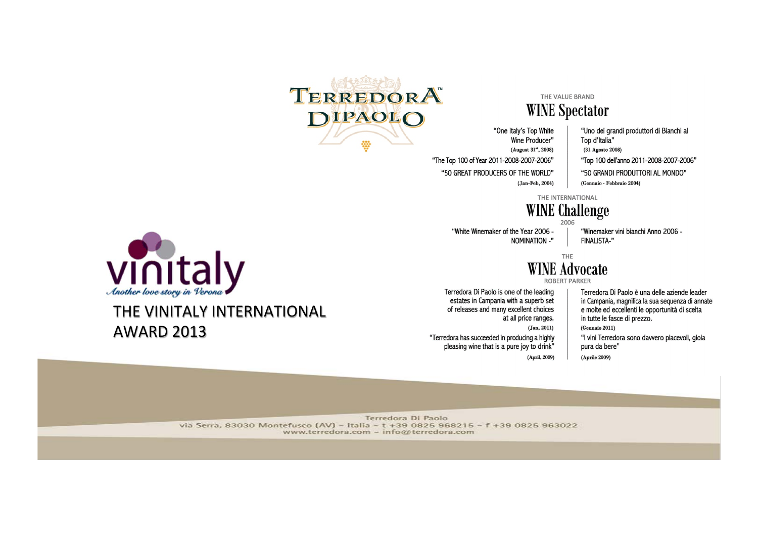

#### THE VALUE BRAND

#### **WINE Spectator**

"One Italy's Top White Wine Producer" (August 31", 2008) "The Top 100 of Year 2011-2008-2007-2006" "50 GREAT PRODUCERS OF THE WORLD" (Jan-Feb, 2004)

"Uno dei grandi produttori di Bianchi al Top d'Italia"

- (31 Agosto 2008)
- "Top 100 dell'anno 2011-2008-2007-2006"
- "50 GRANDI PRODUTTORI AL MONDO"
- (Gennaio Febbraio 2004)

THE INTERNATIONAL

#### **WINE Challenge**

"White Winemaker of the Year 2006 -NOMINATION -"

"Winemaker vini bianchi Anno 2006 -**FINALISTA-"** 

#### THE **WINE Advocate**

ROBERT PARKER

Terredora Di Paolo is one of the leading estates in Campania with a superb set of releases and many excellent choices at all price ranges.  $(Jan, 2011)$ 

"Terredora has succeeded in producing a highly

pleasing wine that is a pure joy to drink" (April, 2009)

Terredora Di Paolo è una delle aziende leader in Campania, magnifica la sua sequenza di annate e molte ed eccellenti le opportunità di scelta in tutte le fasce di prezzo. (Gennaio 2011)

"I vini Terredora sono davvero piacevoli, gioja pura da bere"

 $(Aprile 2009)$ 



#### THE VINITALY INTERNATIONAL **AWARD 2013**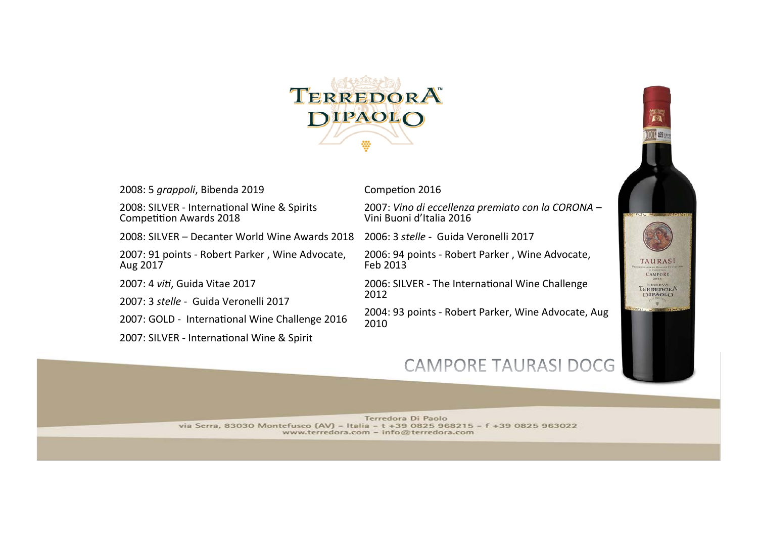

2008: 5 *grappoli*, Bibenda 2019

2008: SILVER - International Wine & Spirits Competition Awards 2018

2008: SILVER – Decanter World Wine Awards 2018

2007: 91 points - Robert Parker, Wine Advocate, Aug 2017 

2007: 4 *viti*, Guida Vitae 2017

2007: 3 *stelle* - Guida Veronelli 2017 

2007: GOLD - International Wine Challenge 2016

2007: SILVER - International Wine & Spirit

Competion 2016

2007: *Vino di eccellenza premiato con la CORONA* –<br>Vini Buoni d'Italia 2016

2006: 3 *stelle* - Guida Veronelli 2017

2006: 94 points - Robert Parker, Wine Advocate, Feb 2013 

2006: SILVER - The International Wine Challenge 2012 

2004: 93 points - Robert Parker, Wine Advocate, Aug 2010 

### CAMPORE TAURASI DOCG

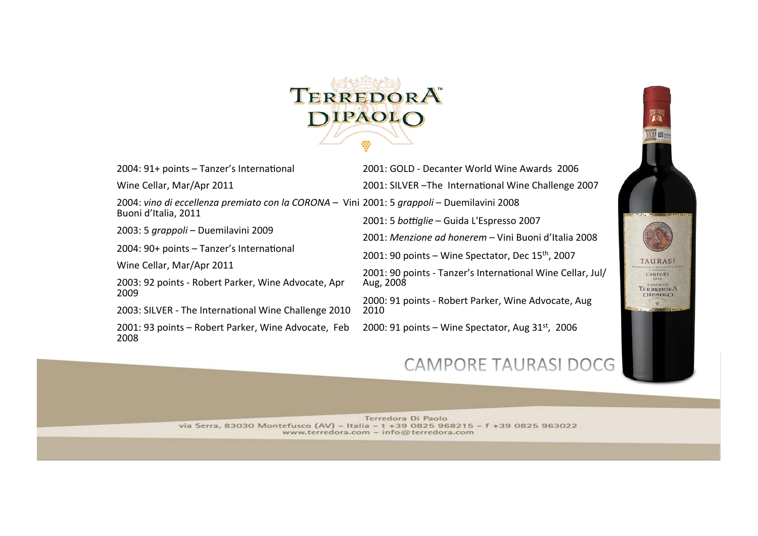

 $2004:91+$  points  $-$  Tanzer's International

Wine Cellar, Mar/Apr 2011

2004: vino di eccellenza premiato con la CORONA - Vini 2001: 5 grappoli - Duemilavini 2008 Buoni d'Italia, 2011

2003: 5 *grappoli* – Duemilavini 2009

 $2004:90+$  points  $-$  Tanzer's International

Wine Cellar, Mar/Apr 2011

2003: 92 points - Robert Parker, Wine Advocate, Apr 2009 

2003: SILVER - The International Wine Challenge 2010

2001: 93 points - Robert Parker, Wine Advocate, Feb 2008 

2001: GOLD - Decanter World Wine Awards 2006 2001: SILVER -The International Wine Challenge 2007 2001: 5 *bottiglie* – Guida L'Espresso 2007 2001: *Menzione ad honerem* – Vini Buoni d'Italia 2008 2001: 90 points  $-$  Wine Spectator, Dec 15<sup>th</sup>, 2007 2001: 90 points - Tanzer's International Wine Cellar, Jul/ Aug, 2008 2000: 91 points - Robert Parker, Wine Advocate, Aug 2010 

2000: 91 points – Wine Spectator, Aug  $31<sup>st</sup>$ , 2006

### CAMPORE TAURASI DOCG

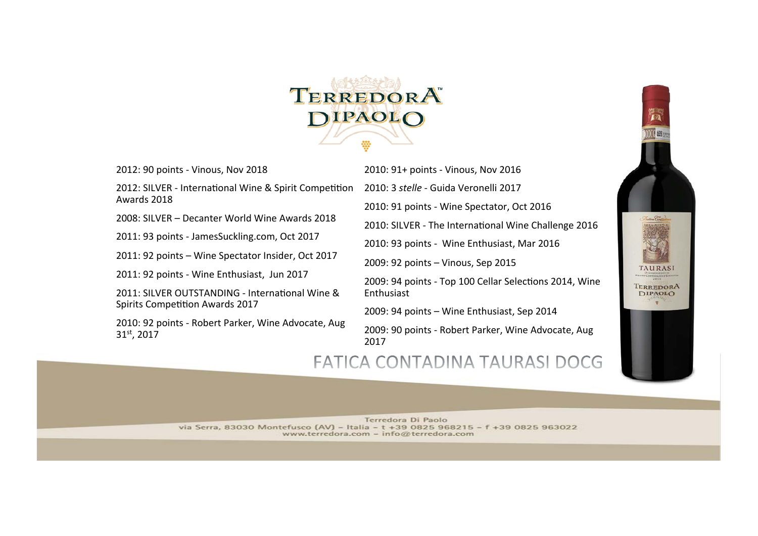

2012: 90 points - Vinous, Nov 2018

2012: SILVER - International Wine & Spirit Competition Awards 2018

2008: SILVER - Decanter World Wine Awards 2018

2011: 93 points - JamesSuckling.com, Oct 2017

2011: 92 points - Wine Spectator Insider, Oct 2017

2011: 92 points - Wine Enthusiast, Jun 2017

2011: SILVER OUTSTANDING - International Wine & Spirits Competition Awards 2017

2010: 92 points - Robert Parker, Wine Advocate, Aug 31st, 2017

2010: 91+ points - Vinous, Nov 2016

2010: 3 *stelle* - Guida Veronelli 2017

2010: 91 points - Wine Spectator, Oct 2016

2010: SILVER - The International Wine Challenge 2016

2010: 93 points - Wine Enthusiast, Mar 2016

2009: 92 points - Vinous, Sep 2015

2009: 94 points - Top 100 Cellar Selections 2014, Wine Enthusiast 

2009: 94 points - Wine Enthusiast, Sep 2014

2009: 90 points - Robert Parker, Wine Advocate, Aug 2017 

### FATICA CONTADINA TAURASI DOCG

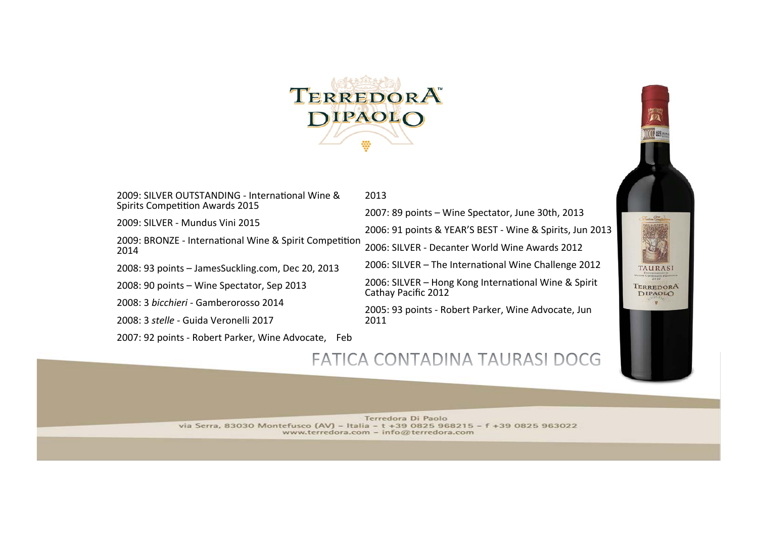

2013 

2009: SILVER OUTSTANDING - International Wine & Spirits Competition Awards 2015

2009: SILVER - Mundus Vini 2015

2009: BRONZE - International Wine & Spirit Competition 2014 

2008: 93 points - JamesSuckling.com, Dec 20, 2013

2008: 90 points - Wine Spectator, Sep 2013

2008: 3 *bicchieri* - Gamberorosso 2014

2008: 3 *stelle* - Guida Veronelli 2017 

2007: 92 points - Robert Parker, Wine Advocate, Feb

2007: 89 points - Wine Spectator, June 30th, 2013 2006: 91 points & YEAR'S BEST - Wine & Spirits, Jun 2013 2006: SILVER - Decanter World Wine Awards 2012

2006: SILVER - The International Wine Challenge 2012

2006: SILVER - Hong Kong International Wine & Spirit Cathay Pacific 2012

2005: 93 points - Robert Parker, Wine Advocate, Jun 2011 

#### FATICA CONTADINA TAURASI DOCG

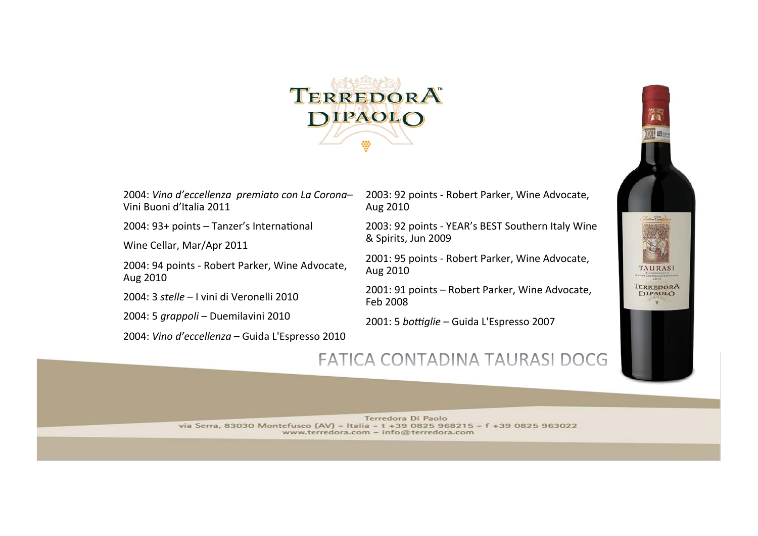

2004: *Vino d'eccellenza premiato con La Corona*– Vini Buoni d'Italia 2011 

2004: 93+ points - Tanzer's International

Wine Cellar, Mar/Apr 2011

2004: 94 points - Robert Parker, Wine Advocate, Aug 2010

2004: 3 *stelle* – I vini di Veronelli 2010

2004: 5 *grappoli* – Duemilavini 2010

2004: *Vino d'eccellenza* – Guida L'Espresso 2010

2003: 92 points - Robert Parker, Wine Advocate, Aug 2010 

2003: 92 points - YEAR's BEST Southern Italy Wine & Spirits, Jun 2009

2001: 95 points - Robert Parker, Wine Advocate, Aug 2010 

2001: 91 points - Robert Parker, Wine Advocate, Feb 2008 

2001: 5 *bottiglie* – Guida L'Espresso 2007



### FATICA CONTADINA TAURASI DOCG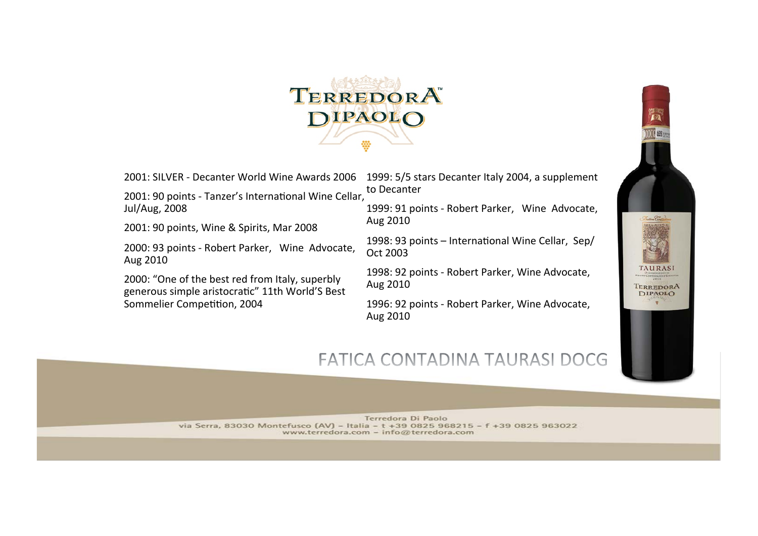

2001: 90 points - Tanzer's International Wine Cellar, Jul/Aug, 2008

2001: 90 points, Wine & Spirits, Mar 2008

2000: 93 points - Robert Parker, Wine Advocate, Aug 2010 

2000: "One of the best red from Italy, superbly generous simple aristocratic" 11th World'S Best Sommelier Competition, 2004

2001: SILVER - Decanter World Wine Awards 2006 1999: 5/5 stars Decanter Italy 2004, a supplement to Decanter

> 1999: 91 points - Robert Parker, Wine Advocate, Aug 2010

1998: 93 points  $-$  International Wine Cellar, Sep/ Oct 2003 

1998: 92 points - Robert Parker, Wine Advocate, Aug 2010 

1996: 92 points - Robert Parker, Wine Advocate, Aug 2010 

## FATICA CONTADINA TAURASI DOCG

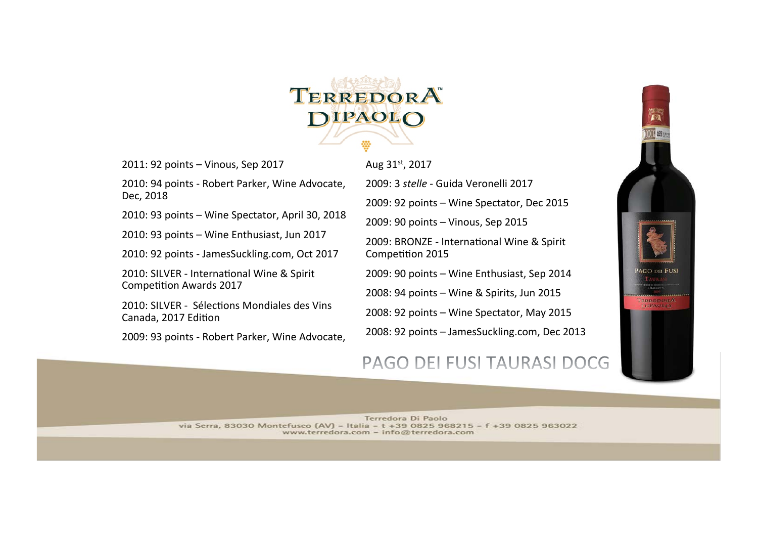

2011: 92 points - Vinous, Sep 2017

2010: 94 points - Robert Parker, Wine Advocate, Dec, 2018 

 $2010:93$  points  $-$  Wine Spectator, April 30, 2018

2010: 93 points - Wine Enthusiast, Jun 2017

2010: 92 points - JamesSuckling.com, Oct 2017

2010: SILVER - International Wine & Spirit Competition Awards 2017

2010: SILVER - Sélections Mondiales des Vins Canada, 2017 Edition

2009: 93 points - Robert Parker, Wine Advocate,

Aug 31st, 2017

2009: 3 *stelle* - Guida Veronelli 2017

2009: 92 points - Wine Spectator, Dec 2015

2009: 90 points - Vinous, Sep 2015

2009: BRONZE - International Wine & Spirit Competition 2015

2009: 90 points - Wine Enthusiast, Sep 2014

2008: 94 points – Wine & Spirits, Jun 2015

2008: 92 points - Wine Spectator, May 2015

2008: 92 points - JamesSuckling.com, Dec 2013

#### PAGO DEI FUSI TAURASI DOCG

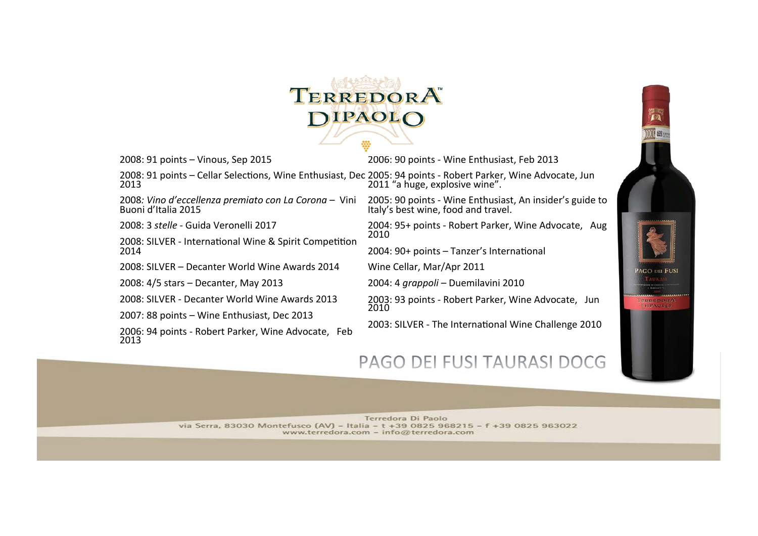

2008: 91 points - Vinous, Sep 2015

2006: 90 points - Wine Enthusiast, Feb 2013

2008: 91 points - Cellar Selections, Wine Enthusiast, Dec 2005: 94 points - Robert Parker, Wine Advocate, Jun 2013 2011 "a huge, explosive wine".

2008: Vino d'eccellenza premiato con La Corona - Vini Buoni d'Italia 2015 

2008: 3 *stelle* - Guida Veronelli 2017 

2008: SILVER - International Wine & Spirit Competition 2014 

2008: SILVER - Decanter World Wine Awards 2014

2008: 4/5 stars - Decanter, May 2013

2008: SILVER - Decanter World Wine Awards 2013

2007: 88 points - Wine Enthusiast, Dec 2013

2006: 94 points - Robert Parker, Wine Advocate, Feb 2013 

2005: 90 points - Wine Enthusiast, An insider's guide to Italy's best wine, food and travel.

2004: 95+ points - Robert Parker, Wine Advocate, Aug 2010 

2004: 90+ points - Tanzer's International

Wine Cellar, Mar/Apr 2011

2004: 4 *grappoli* – Duemilavini 2010

2003: 93 points - Robert Parker, Wine Advocate, Jun 2010 

2003: SILVER - The International Wine Challenge 2010

## PAGO DEI FUSI TAURASI DOCG

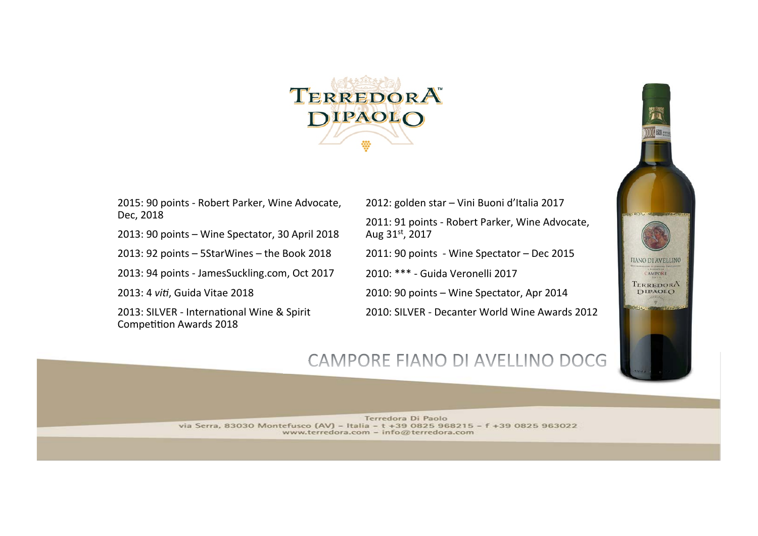

2015: 90 points - Robert Parker, Wine Advocate, Dec, 2018

 $2013:90$  points  $-$  Wine Spectator, 30 April 2018

 $2013: 92$  points  $-$  5StarWines  $-$  the Book 2018

2013: 94 points - JamesSuckling.com, Oct 2017

2013: 4 *viti*, Guida Vitae 2018

2013: SILVER - International Wine & Spirit Competition Awards 2018

2012: golden star - Vini Buoni d'Italia 2017 2011: 91 points - Robert Parker, Wine Advocate, Aug 31st, 2017

2011: 90 points - Wine Spectator - Dec 2015

2010: \*\*\* - Guida Veronelli 2017

2010: 90 points - Wine Spectator, Apr 2014

2010: SILVER - Decanter World Wine Awards 2012



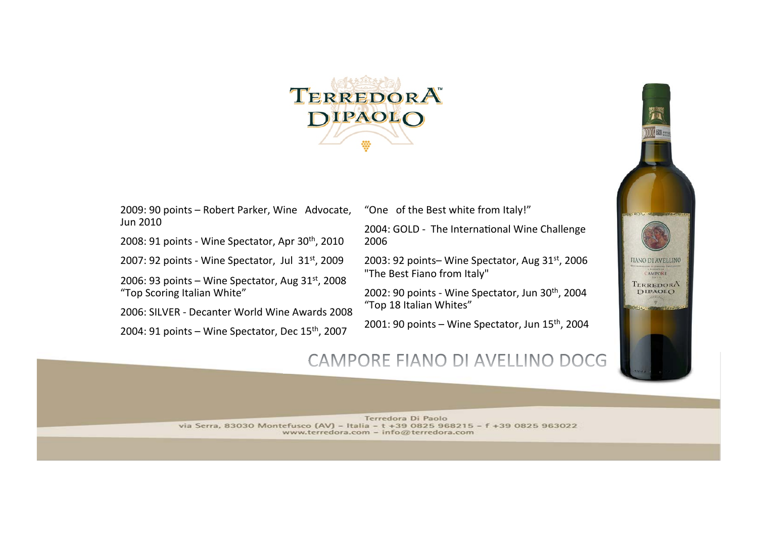

2009: 90 points - Robert Parker, Wine Advocate, Jun 2010 

2008: 91 points - Wine Spectator, Apr  $30<sup>th</sup>$ , 2010

2007: 92 points - Wine Spectator, Jul  $31^{st}$ , 2009

2006: 93 points – Wine Spectator, Aug  $31^{st}$ , 2008 "Top Scoring Italian White"

2006: SILVER - Decanter World Wine Awards 2008

2004: 91 points  $-$  Wine Spectator, Dec 15<sup>th</sup>, 2007

"One of the Best white from Italy!"

2004: GOLD - The International Wine Challenge 2006 

2003: 92 points– Wine Spectator, Aug  $31<sup>st</sup>$ , 2006 "The Best Fiano from Italy"

2002: 90 points - Wine Spectator, Jun  $30<sup>th</sup>$ , 2004 "Top 18 Italian Whites"

2001: 90 points – Wine Spectator, Jun  $15<sup>th</sup>$ , 2004



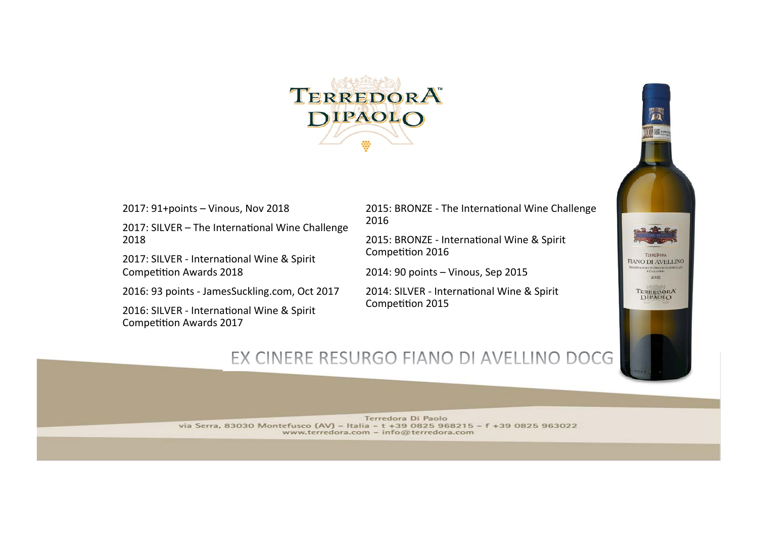

2017: 91+points - Vinous, Nov 2018

 $2017$ : SILVER - The International Wine Challenge 2018 

2017: SILVER - International Wine & Spirit Competition Awards 2018

2016: 93 points - JamesSuckling.com, Oct 2017

2016: SILVER - International Wine & Spirit Competition Awards 2017

2015: BRONZE - The International Wine Challenge 2016 

2015: BRONZE - International Wine & Spirit Competition 2016

2014: 90 points - Vinous, Sep 2015

2014: SILVER - International Wine & Spirit Competition 2015



# EX CINERE RESURGO FIANO DI AVELLINO DOCG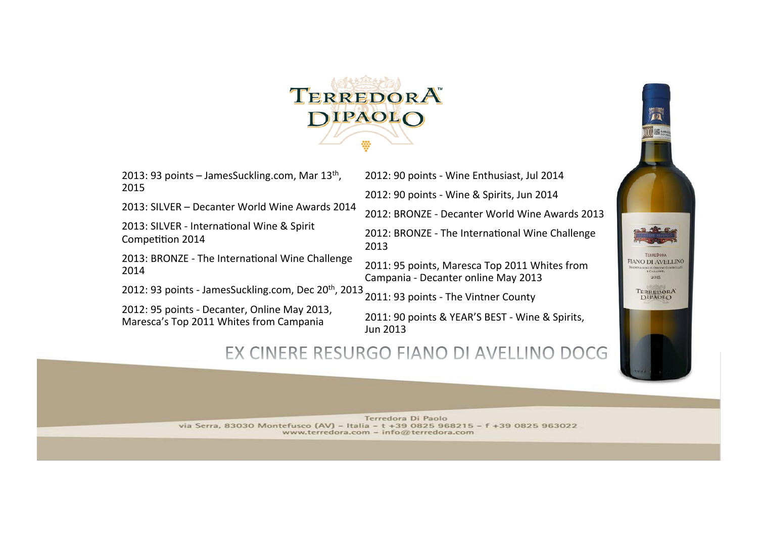

2013: 93 points  $-$  JamesSuckling.com, Mar 13<sup>th</sup>, 2015 

2013: SILVER - Decanter World Wine Awards 2014

2013: SILVER - International Wine & Spirit Competition 2014

2013: BRONZE - The International Wine Challenge 2014 

2012: 93 points - JamesSuckling.com, Dec 20<sup>th</sup>, 2013

2012: 95 points - Decanter, Online May 2013, Maresca's Top 2011 Whites from Campania

2012: 90 points - Wine Enthusiast, Jul 2014 2012: 90 points - Wine & Spirits, Jun 2014 2012: BRONZE - Decanter World Wine Awards 2013

2012: BRONZE - The International Wine Challenge 2013 

2011: 95 points, Maresca Top 2011 Whites from Campania - Decanter online May 2013

2011: 93 points - The Vintner County

2011: 90 points & YEAR'S BEST - Wine & Spirits, Jun 2013 

## EX CINERE RESURGO FIANO DI AVELLINO DOCG

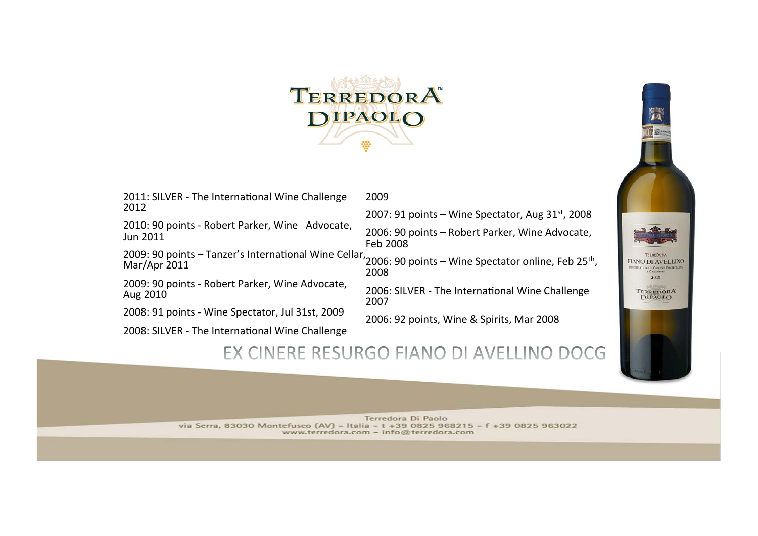

2009 

2011: SILVER - The International Wine Challenge 2012 

2010: 90 points - Robert Parker, Wine Advocate, Jun 2011 

2009: 90 points - Tanzer's International Wine Cellar,

2009: 90 points - Robert Parker, Wine Advocate, Aug 2010 

2008: 91 points - Wine Spectator, Jul 31st, 2009

2008: SILVER - The International Wine Challenge

2007: 91 points  $-$  Wine Spectator, Aug 31st, 2008 2006: 90 points - Robert Parker, Wine Advocate, Feb 2008 

 $\frac{2005.50 \text{ points}}{10000}$  and the matter international wine cending 2006: 90 points – Wine Spectator online, Feb 25<sup>th</sup>,<br>2008

2006: SILVER - The International Wine Challenge 2007 

2006: 92 points, Wine & Spirits, Mar 2008

## EX CINERE RESURGO FIANO DI AVELLINO DOCG



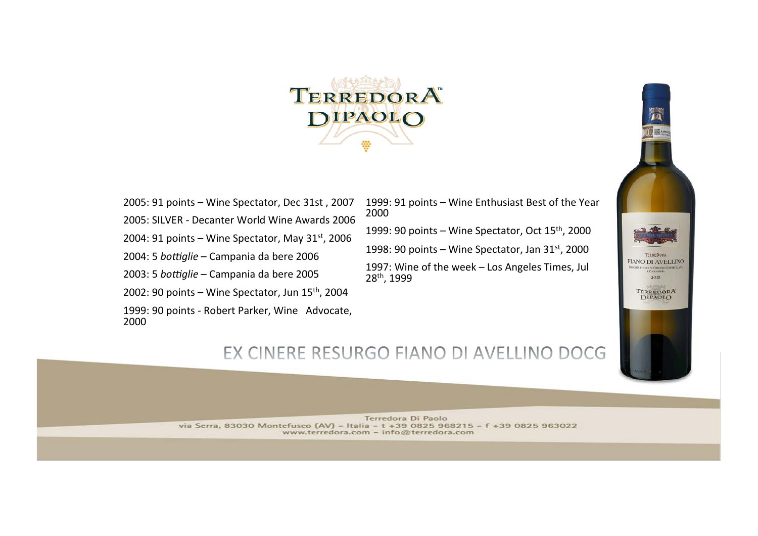

2005: 91 points - Wine Spectator, Dec 31st, 2007 2005: SILVER - Decanter World Wine Awards 2006 2004: 91 points – Wine Spectator, May  $31^{st}$ , 2006 2004: 5 *bottiglie* – Campania da bere 2006 2003: 5 *bottiglie* – Campania da bere 2005 2002: 90 points  $-$  Wine Spectator, Jun 15<sup>th</sup>, 2004 1999: 90 points - Robert Parker, Wine Advocate, 2000 

1999: 91 points - Wine Enthusiast Best of the Year 2000 1999: 90 points – Wine Spectator, Oct  $15<sup>th</sup>$ , 2000 1998: 90 points – Wine Spectator, Jan  $31<sup>st</sup>$ , 2000

1997: Wine of the week - Los Angeles Times, Jul 28<sup>th</sup>, 1999



# EX CINERE RESURGO FIANO DI AVELLINO DOCG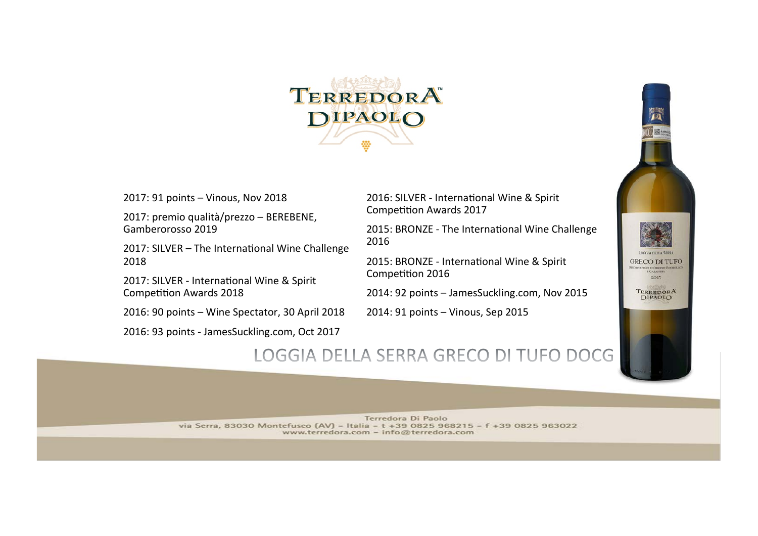

2017: 91 points – Vinous, Nov 2018

2017: premio qualità/prezzo - BEREBENE, Gamberorosso 2019 

2017: SILVER  $-$  The International Wine Challenge 2018 

2017: SILVER - International Wine & Spirit Competition Awards 2018

 $2016: 90$  points  $-$  Wine Spectator, 30 April 2018

2016: 93 points - JamesSuckling.com, Oct 2017

2016: SILVER - International Wine & Spirit Competition Awards 2017

2015: BRONZE - The International Wine Challenge 2016 

2015: BRONZE - International Wine & Spirit Competition 2016

2014: 92 points - JamesSuckling.com, Nov 2015

 $2014:91$  points  $-$  Vinous, Sep 2015



## LOGGIA DELLA SERRA GRECO DI TUFO DOCG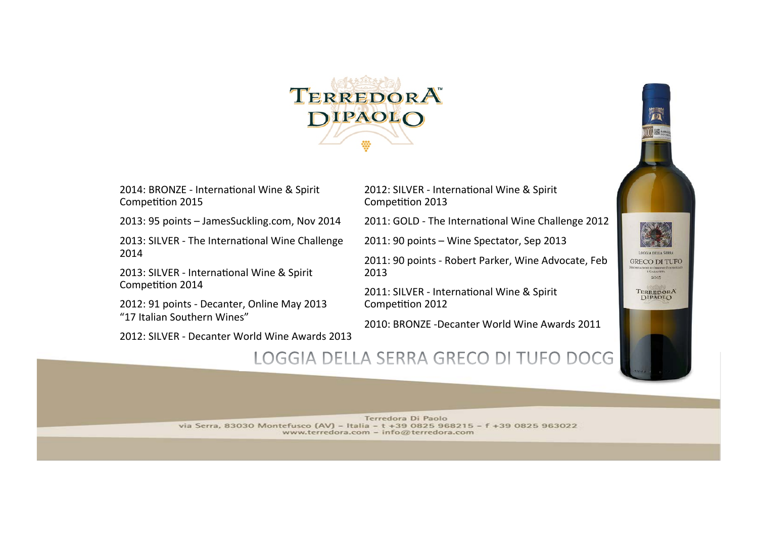

2014: BRONZE - International Wine & Spirit Competition 2015

2013: 95 points - JamesSuckling.com, Nov 2014

2013: SILVER - The International Wine Challenge 2014 

2013: SILVER - International Wine & Spirit Competition 2014

2012: 91 points - Decanter, Online May 2013 "17 Italian Southern Wines" 

2012: SILVER - Decanter World Wine Awards 2013

2012: SILVER - International Wine & Spirit Competition 2013

2011: GOLD - The International Wine Challenge 2012

 $2011: 90$  points  $-$  Wine Spectator, Sep 2013

2011: 90 points - Robert Parker, Wine Advocate, Feb 2013 

2011: SILVER - International Wine & Spirit Competition 2012

2010: BRONZE -Decanter World Wine Awards 2011



### LOGGIA DELLA SERRA GRECO DI TUFO DOCG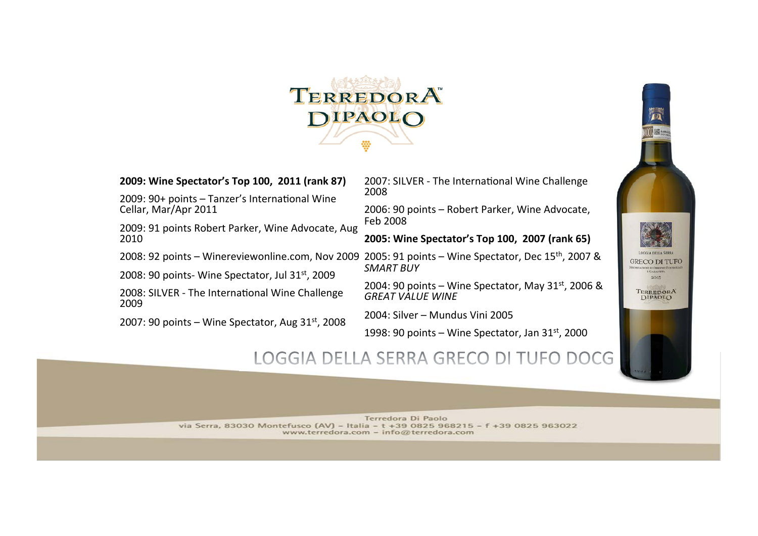

**2009: Wine Spectator's Top 100, 2011 (rank 87)** 

 $2009:90+$  points  $-$  Tanzer's International Wine Cellar, Mar/Apr 2011

2009: 91 points Robert Parker, Wine Advocate, Aug 2010 

2008: SILVER - The International Wine Challenge

2007: 90 points  $-$  Wine Spectator, Aug 31st, 2008

2009 

2007: SILVER - The International Wine Challenge 2008 

2006: 90 points - Robert Parker, Wine Advocate, Feb 2008 

**2005: Wine Spectator's Top 100, 2007 (rank 65)** 

2008: 92 points - Winereviewonline.com, Nov 2009 2005: 91 points - Wine Spectator, Dec 15<sup>th</sup>, 2007 & 2008: 90 points- Wine Spectator, Jul 31st, 2009 *SMART BUY* 

> 2004: 90 points – Wine Spectator, May  $31<sup>st</sup>$ , 2006 & **GREAT VALUE WINE**

2004: Silver - Mundus Vini 2005

1998: 90 points  $-$  Wine Spectator, Jan 31st, 2000

## LOGGIA DELLA SERRA GRECO DI TUFO DOCG

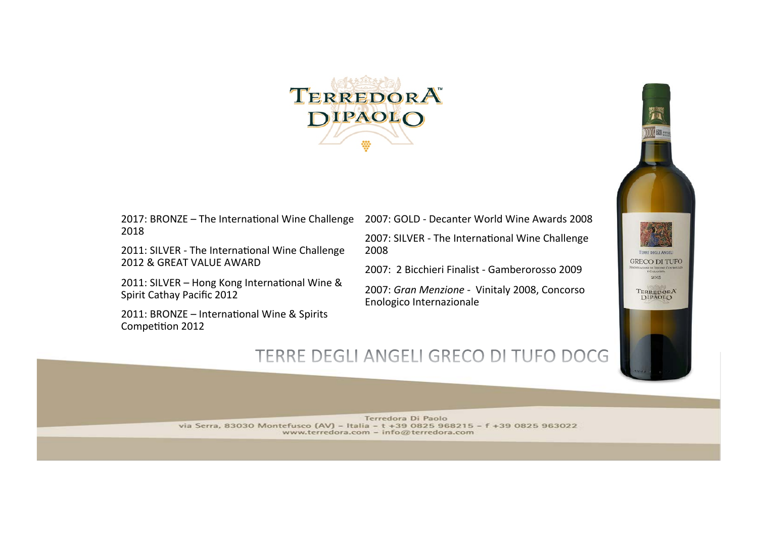

 $2017$ : BRONZE - The International Wine Challenge 2018 

2011: SILVER - The International Wine Challenge 2012 & GREAT VALUE AWARD

2011: SILVER - Hong Kong International Wine & Spirit Cathay Pacific 2012

2011: BRONZE - International Wine & Spirits Competition 2012

2007: GOLD - Decanter World Wine Awards 2008

2007: SILVER - The International Wine Challenge 2008 

2007: 2 Bicchieri Finalist - Gamberorosso 2009

2007: Gran Menzione - Vinitaly 2008, Concorso Enologico Internazionale 



# TERRE DEGLI ANGELI GRECO DI TUFO DOCG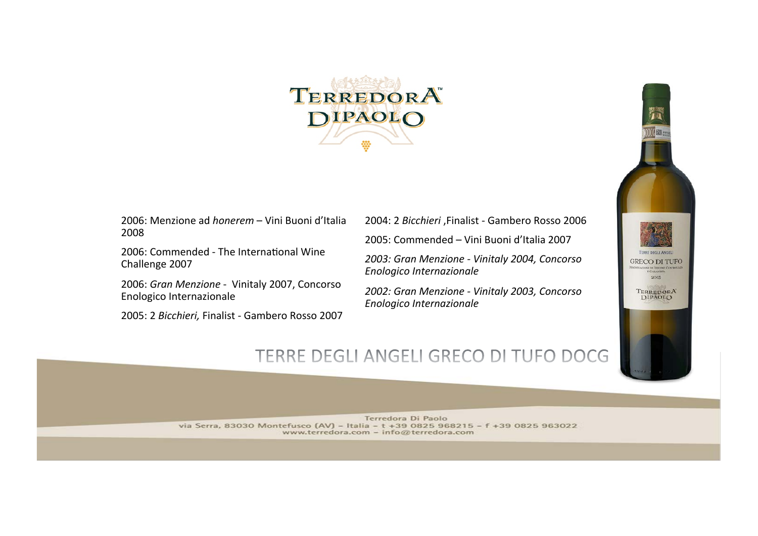

2006: Menzione ad *honerem* – Vini Buoni d'Italia 2008 

2006: Commended - The International Wine Challenge 2007

2006: Gran Menzione - Vinitaly 2007, Concorso Enologico Internazionale 

2005: 2 Bicchieri, Finalist - Gambero Rosso 2007

2004: 2 *Bicchieri* , Finalist - Gambero Rosso 2006

2005: Commended – Vini Buoni d'Italia 2007

2003: Gran Menzione - Vinitaly 2004, Concorso *Enologico Internazionale*

2002: Gran Menzione - Vinitaly 2003, Concorso *Enologico Internazionale*



# TERRE DEGLI ANGELI GRECO DI TUFO DOCG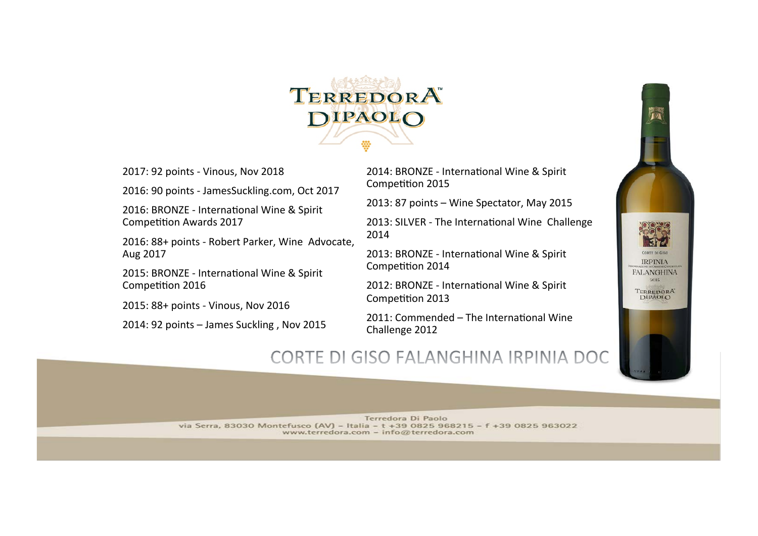

2017: 92 points - Vinous, Nov 2018

2016: 90 points - JamesSuckling.com, Oct 2017

2016: BRONZE - International Wine & Spirit Competition Awards 2017

2016: 88+ points - Robert Parker, Wine Advocate, Aug 2017 

2015: BRONZE - International Wine & Spirit Competition 2016

2015: 88+ points - Vinous, Nov 2016

 $2014:92$  points  $-$  James Suckling, Nov 2015

2014: BRONZE - International Wine & Spirit Competition 2015

2013: 87 points - Wine Spectator, May 2015

2013: SILVER - The International Wine Challenge 2014 

2013: BRONZE - International Wine & Spirit Competition 2014

2012: BRONZE - International Wine & Spirit Competition 2013

 $2011$ : Commended – The International Wine Challenge 2012

# CORTE DI GISO FALANGHINA IRPINIA DOC

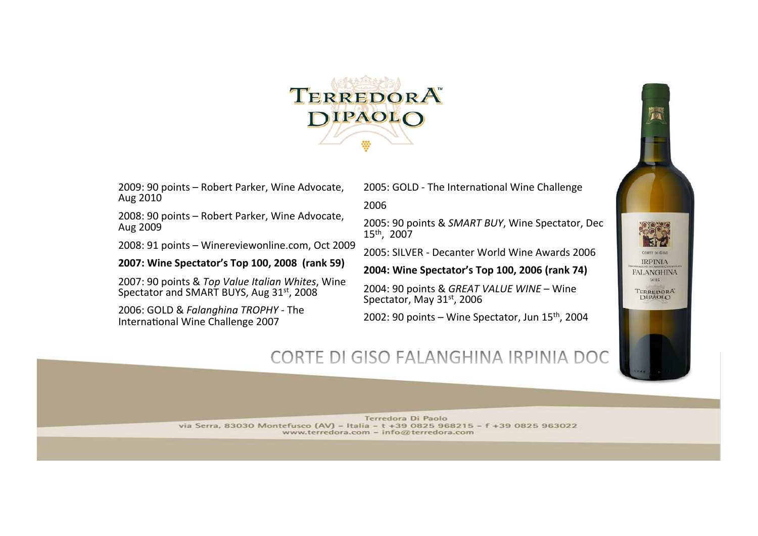

2009: 90 points - Robert Parker, Wine Advocate, Aug 2010 

2008: 90 points - Robert Parker, Wine Advocate, Aug 2009 

2008: 91 points - Winereviewonline.com, Oct 2009

#### 2007: Wine Spectator's Top 100, 2008 (rank 59)

2007: 90 points & Top Value Italian Whites, Wine Spectator and SMART BUYS, Aug 31<sup>st</sup>, 2008

2006: GOLD & *Falanghina TROPHY* - The International Wine Challenge 2007

2005: GOLD - The International Wine Challenge

2006 

2005: 90 points & SMART BUY, Wine Spectator, Dec 15<sup>th</sup>, 2007

2005: SILVER - Decanter World Wine Awards 2006

2004: Wine Spectator's Top 100, 2006 (rank 74)

2004: 90 points & GREAT VALUE WINE - Wine Spectator, May 31st, 2006

2002: 90 points  $-$  Wine Spectator, Jun  $15<sup>th</sup>$ , 2004

## CORTE DI GISO FALANGHINA IRPINIA DOC

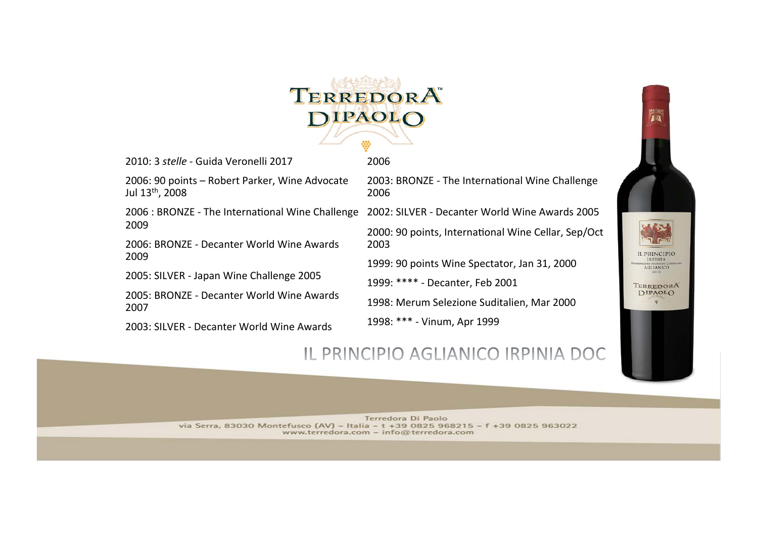

2006 

2010: 3 *stelle* - Guida Veronelli 2017

2006: 90 points - Robert Parker, Wine Advocate Jul 13<sup>th</sup>, 2008

2006 : BRONZE - The International Wine Challenge 2002: SILVER - Decanter World Wine Awards 2005 2009 

2006: BRONZE - Decanter World Wine Awards 2009 

2005: SILVER - Japan Wine Challenge 2005

2005: BRONZE - Decanter World Wine Awards 2007 

2003: SILVER - Decanter World Wine Awards

2003: BRONZE - The International Wine Challenge 2006 

2000: 90 points, International Wine Cellar, Sep/Oct 2003 

1999: 90 points Wine Spectator, Jan 31, 2000

1999: \*\*\*\* - Decanter, Feb 2001

1998: Merum Selezione Suditalien, Mar 2000

1998: \*\*\* - Vinum, Apr 1999



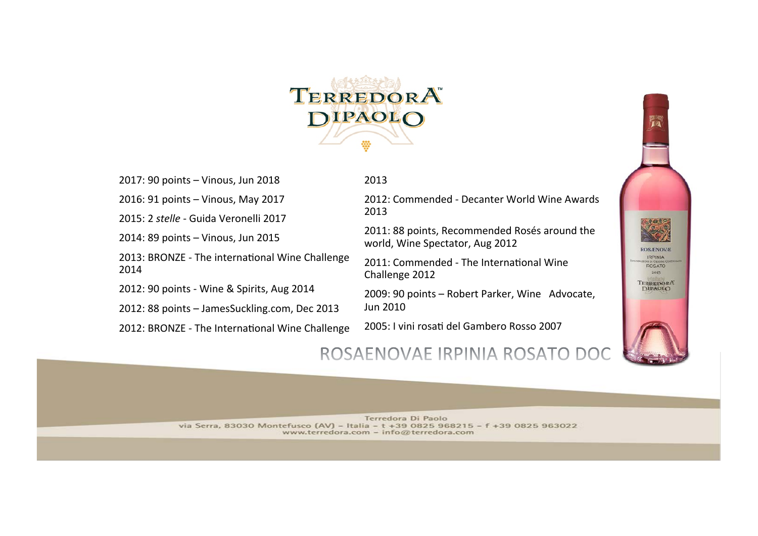

2017: 90 points - Vinous, Jun 2018

2016: 91 points - Vinous, May 2017

2015: 2 *stelle* - Guida Veronelli 2017

2014: 89 points - Vinous, Jun 2015

2013: BRONZE - The international Wine Challenge 2014 

2012: 90 points - Wine & Spirits, Aug 2014

2012: 88 points - JamesSuckling.com, Dec 2013

2012: BRONZE - The International Wine Challenge

2013 

2012: Commended - Decanter World Wine Awards 2013 

2011: 88 points, Recommended Rosés around the world, Wine Spectator, Aug 2012

2011: Commended - The International Wine Challenge 2012

2009: 90 points - Robert Parker, Wine Advocate, Jun 2010 

2005: I vini rosati del Gambero Rosso 2007



## ROSAENOVAE IRPINIA ROSATO DO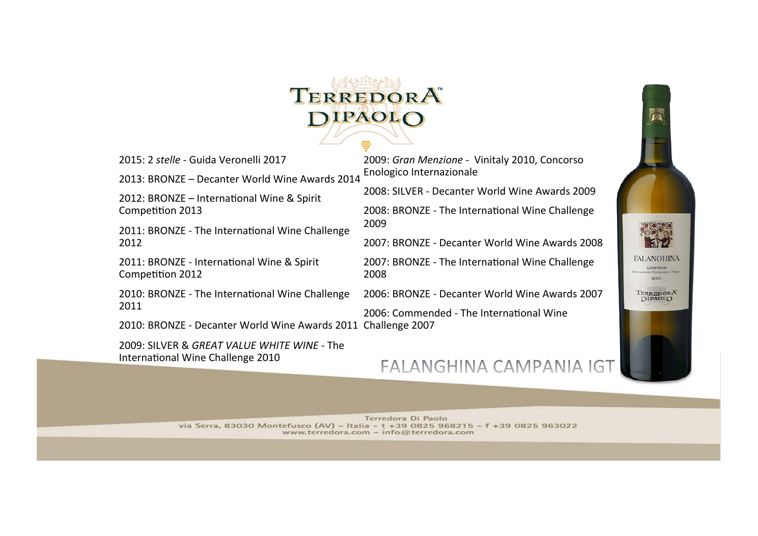

2015: 2 *stelle* - Guida Veronelli 2017 

2013: BRONZE - Decanter World Wine Awards 2014

2012: BRONZE - International Wine & Spirit Competition 2013

2011: BRONZE - The International Wine Challenge 2012 

2011: BRONZE - International Wine & Spirit Competition 2012

2010: BRONZE - The International Wine Challenge 2011 

2010: BRONZE - Decanter World Wine Awards 2011 Challenge 2007

2009: SILVER & *GREAT VALUE WHITE WINE* - The International Wine Challenge 2010

2009: Gran Menzione - Vinitaly 2010, Concorso Enologico Internazionale 

2008: SILVER - Decanter World Wine Awards 2009

2008: BRONZE - The International Wine Challenge 2009 

2007: BRONZE - Decanter World Wine Awards 2008 

2007: BRONZE - The International Wine Challenge 2008 

2006: BRONZE - Decanter World Wine Awards 2007

2006: Commended - The International Wine

## FALANGHINA CAMPANIA IGT

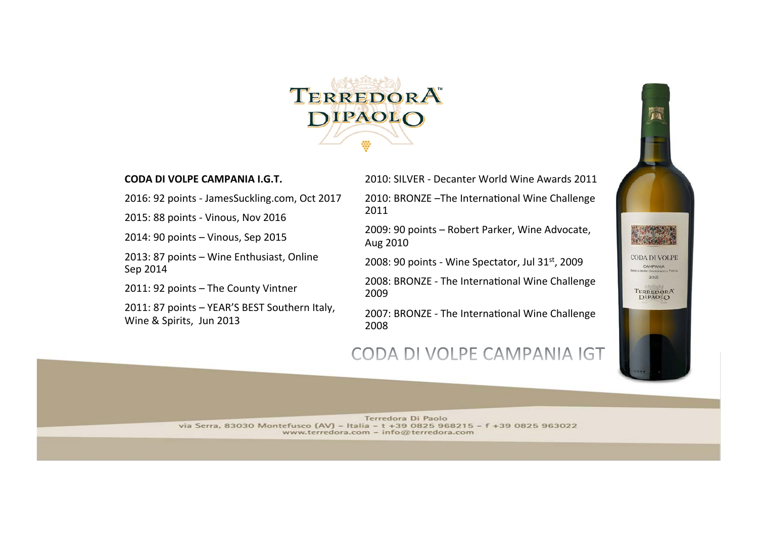

#### **CODA DI VOLPE CAMPANIA I.G.T.**

2016: 92 points - JamesSuckling.com, Oct 2017

2015: 88 points - Vinous, Nov 2016

2014: 90 points - Vinous, Sep 2015

2013: 87 points - Wine Enthusiast, Online Sep 2014 

2011: 92 points - The County Vintner

2011: 87 points - YEAR'S BEST Southern Italy, Wine & Spirits, Jun 2013

2010: SILVER - Decanter World Wine Awards 2011

2010: BRONZE -The International Wine Challenge 2011 

2009: 90 points - Robert Parker, Wine Advocate, Aug 2010 

2008: 90 points - Wine Spectator, Jul  $31<sup>st</sup>$ , 2009

2008: BRONZE - The International Wine Challenge 2009 

2007: BRONZE - The International Wine Challenge 2008 

### CODA DI VOLPE CAMPANIA IGT

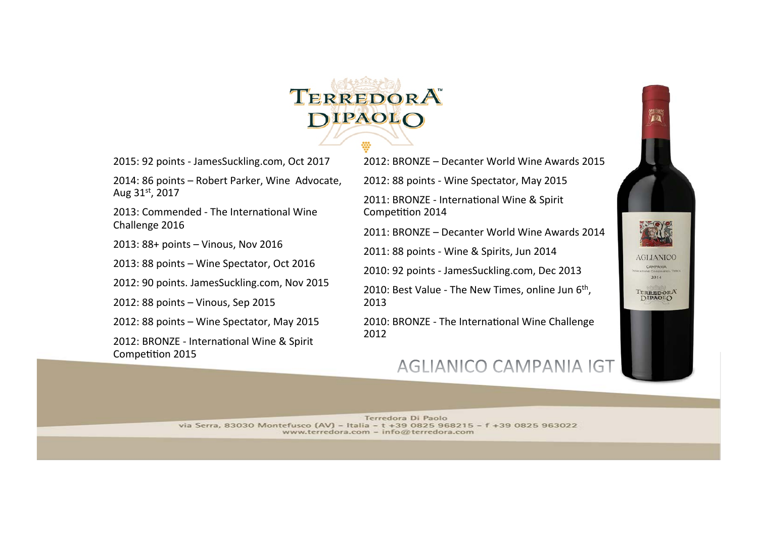

2015: 92 points - JamesSuckling.com, Oct 2017

2014: 86 points - Robert Parker, Wine Advocate, Aug 31st, 2017

2013: Commended - The International Wine Challenge 2016

2013: 88+ points - Vinous, Nov 2016

2013: 88 points - Wine Spectator, Oct 2016

2012: 90 points. JamesSuckling.com, Nov 2015

2012: 88 points - Vinous, Sep 2015

2012: 88 points - Wine Spectator, May 2015

2012: BRONZE - International Wine & Spirit Competition 2015

2012: BRONZE – Decanter World Wine Awards 2015

2012: 88 points - Wine Spectator, May 2015

2011: BRONZE - International Wine & Spirit Competition 2014

2011: BRONZE - Decanter World Wine Awards 2014

2011: 88 points - Wine & Spirits, Jun 2014

2010: 92 points - JamesSuckling.com, Dec 2013

2010: Best Value - The New Times, online Jun  $6<sup>th</sup>$ , 2013 

2010: BRONZE - The International Wine Challenge 2012 

### AGLIANICO CAMPANIA IGT

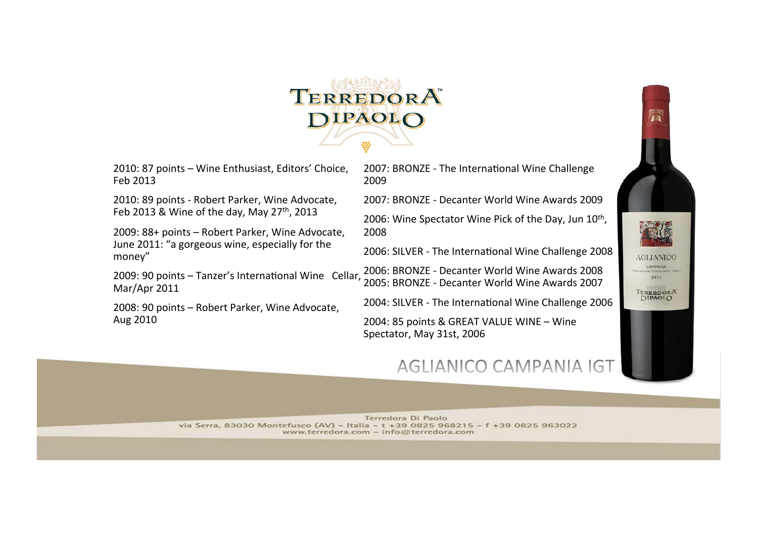

2010: 87 points - Wine Enthusiast, Editors' Choice, Feb 2013 

2010: 89 points - Robert Parker, Wine Advocate, Feb 2013 & Wine of the day, May 27<sup>th</sup>, 2013

2009: 88+ points - Robert Parker, Wine Advocate, June 2011: "a gorgeous wine, especially for the money" 

2009: 90 points  $-$  Tanzer's International Wine Cellar, Mar/Apr 2011

2008: 90 points - Robert Parker, Wine Advocate, Aug 2010

2007: BRONZE - The International Wine Challenge 2009 

2007: BRONZE - Decanter World Wine Awards 2009 2006: Wine Spectator Wine Pick of the Day, Jun 10th, 2008 

2006: SILVER - The International Wine Challenge 2008

2006: BRONZE - Decanter World Wine Awards 2008 2005: BRONZE - Decanter World Wine Awards 2007

2004: SILVER - The International Wine Challenge 2006

2004: 85 points & GREAT VALUE WINE - Wine Spectator, May 31st, 2006

## AGLIANICO CAMPANIA IGT

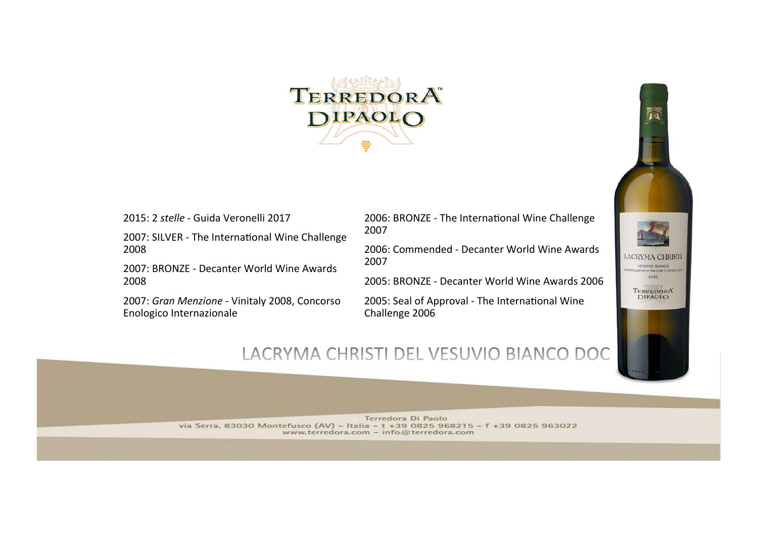

2015: 2 *stelle* - Guida Veronelli 2017

2007: SILVER - The International Wine Challenge 2008 

2007: BRONZE - Decanter World Wine Awards 2008 

2007: Gran Menzione - Vinitaly 2008, Concorso Enologico Internazionale

2006: BRONZE - The International Wine Challenge 2007 

2006: Commended - Decanter World Wine Awards 2007 

2005: BRONZE - Decanter World Wine Awards 2006

2005: Seal of Approval - The International Wine Challenge 2006